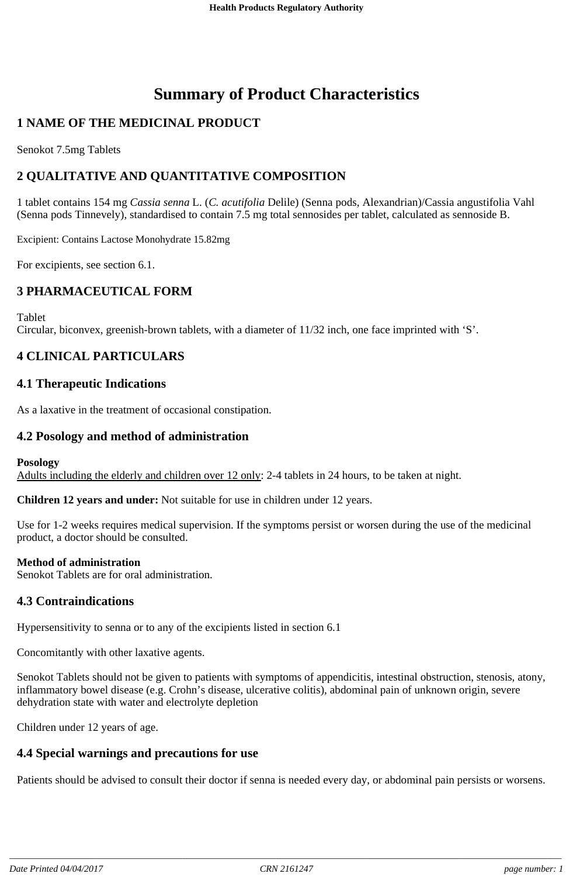# **Summary of Product Characteristics**

# **1 NAME OF THE MEDICINAL PRODUCT**

Senokot 7.5mg Tablets

# **2 QUALITATIVE AND QUANTITATIVE COMPOSITION**

1 tablet contains 154 mg *Cassia senna* L. (*C. acutifolia* Delile) (Senna pods, Alexandrian)/Cassia angustifolia Vahl (Senna pods Tinnevely), standardised to contain 7.5 mg total sennosides per tablet, calculated as sennoside B.

Excipient: Contains Lactose Monohydrate 15.82mg

For excipients, see section 6.1.

### **3 PHARMACEUTICAL FORM**

Tablet

Circular, biconvex, greenish-brown tablets, with a diameter of 11/32 inch, one face imprinted with 'S'.

# **4 CLINICAL PARTICULARS**

### **4.1 Therapeutic Indications**

As a laxative in the treatment of occasional constipation.

#### **4.2 Posology and method of administration**

#### **Posology**

Adults including the elderly and children over 12 only: 2-4 tablets in 24 hours, to be taken at night.

**Children 12 years and under:** Not suitable for use in children under 12 years.

Use for 1-2 weeks requires medical supervision. If the symptoms persist or worsen during the use of the medicinal product, a doctor should be consulted.

#### **Method of administration**

Senokot Tablets are for oral administration.

#### **4.3 Contraindications**

Hypersensitivity to senna or to any of the excipients listed in section 6.1

Concomitantly with other laxative agents.

Senokot Tablets should not be given to patients with symptoms of appendicitis, intestinal obstruction, stenosis, atony, inflammatory bowel disease (e.g. Crohn's disease, ulcerative colitis), abdominal pain of unknown origin, severe dehydration state with water and electrolyte depletion

Children under 12 years of age.

### **4.4 Special warnings and precautions for use**

Patients should be advised to consult their doctor if senna is needed every day, or abdominal pain persists or worsens.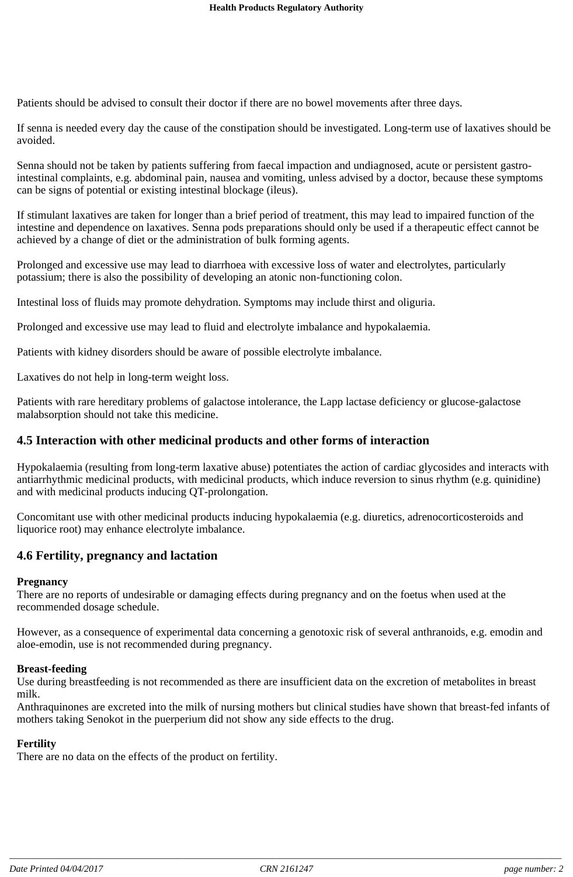Patients should be advised to consult their doctor if there are no bowel movements after three days.

If senna is needed every day the cause of the constipation should be investigated. Long-term use of laxatives should be avoided.

Senna should not be taken by patients suffering from faecal impaction and undiagnosed, acute or persistent gastrointestinal complaints, e.g. abdominal pain, nausea and vomiting, unless advised by a doctor, because these symptoms can be signs of potential or existing intestinal blockage (ileus).

If stimulant laxatives are taken for longer than a brief period of treatment, this may lead to impaired function of the intestine and dependence on laxatives. Senna pods preparations should only be used if a therapeutic effect cannot be achieved by a change of diet or the administration of bulk forming agents.

Prolonged and excessive use may lead to diarrhoea with excessive loss of water and electrolytes, particularly potassium; there is also the possibility of developing an atonic non-functioning colon.

Intestinal loss of fluids may promote dehydration. Symptoms may include thirst and oliguria.

Prolonged and excessive use may lead to fluid and electrolyte imbalance and hypokalaemia.

Patients with kidney disorders should be aware of possible electrolyte imbalance.

Laxatives do not help in long-term weight loss.

Patients with rare hereditary problems of galactose intolerance, the Lapp lactase deficiency or glucose-galactose malabsorption should not take this medicine.

#### **4.5 Interaction with other medicinal products and other forms of interaction**

Hypokalaemia (resulting from long-term laxative abuse) potentiates the action of cardiac glycosides and interacts with antiarrhythmic medicinal products, with medicinal products, which induce reversion to sinus rhythm (e.g. quinidine) and with medicinal products inducing QT-prolongation.

Concomitant use with other medicinal products inducing hypokalaemia (e.g. diuretics, adrenocorticosteroids and liquorice root) may enhance electrolyte imbalance.

### **4.6 Fertility, pregnancy and lactation**

#### **Pregnancy**

There are no reports of undesirable or damaging effects during pregnancy and on the foetus when used at the recommended dosage schedule.

However, as a consequence of experimental data concerning a genotoxic risk of several anthranoids, e.g. emodin and aloe-emodin, use is not recommended during pregnancy.

#### **Breast-feeding**

Use during breastfeeding is not recommended as there are insufficient data on the excretion of metabolites in breast milk.

Anthraquinones are excreted into the milk of nursing mothers but clinical studies have shown that breast-fed infants of mothers taking Senokot in the puerperium did not show any side effects to the drug.

#### **Fertility**

There are no data on the effects of the product on fertility.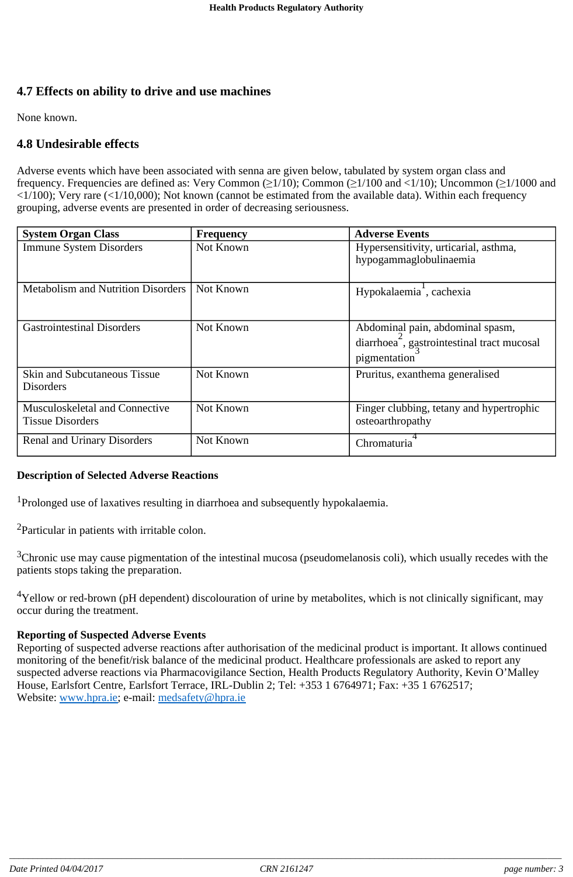# **4.7 Effects on ability to drive and use machines**

None known.

# **4.8 Undesirable effects**

Adverse events which have been associated with senna are given below, tabulated by system organ class and frequency. Frequencies are defined as: Very Common ( $\geq 1/10$ ); Common ( $\geq 1/100$  and  $\lt 1/10$ ); Uncommon ( $\geq 1/1000$  and  $\langle 1/100 \rangle$ ; Very rare ( $\langle 1/10,000 \rangle$ ; Not known (cannot be estimated from the available data). Within each frequency grouping, adverse events are presented in order of decreasing seriousness.

| <b>System Organ Class</b>                                 | <b>Frequency</b> | <b>Adverse Events</b>                                                                                       |
|-----------------------------------------------------------|------------------|-------------------------------------------------------------------------------------------------------------|
| <b>Immune System Disorders</b>                            | Not Known        | Hypersensitivity, urticarial, asthma,<br>hypogammaglobulinaemia                                             |
| <b>Metabolism and Nutrition Disorders</b>                 | Not Known        | Hypokalaemia <sup>1</sup> , cachexia                                                                        |
| <b>Gastrointestinal Disorders</b>                         | Not Known        | Abdominal pain, abdominal spasm,<br>diarrhoea <sup>-</sup> , gastrointestinal tract mucosal<br>pigmentation |
| Skin and Subcutaneous Tissue<br><b>Disorders</b>          | Not Known        | Pruritus, exanthema generalised                                                                             |
| Musculoskeletal and Connective<br><b>Tissue Disorders</b> | Not Known        | Finger clubbing, tetany and hypertrophic<br>osteoarthropathy                                                |
| <b>Renal and Urinary Disorders</b>                        | Not Known        | Chromaturia                                                                                                 |

### **Description of Selected Adverse Reactions**

<sup>1</sup>Prolonged use of laxatives resulting in diarrhoea and subsequently hypokalaemia.

<sup>2</sup>Particular in patients with irritable colon.

 $3$ Chronic use may cause pigmentation of the intestinal mucosa (pseudomelanosis coli), which usually recedes with the patients stops taking the preparation.

 $4$ Yellow or red-brown (pH dependent) discolouration of urine by metabolites, which is not clinically significant, may occur during the treatment.

#### **Reporting of Suspected Adverse Events**

Reporting of suspected adverse reactions after authorisation of the medicinal product is important. It allows continued monitoring of the benefit/risk balance of the medicinal product. Healthcare professionals are asked to report any suspected adverse reactions via Pharmacovigilance Section, Health Products Regulatory Authority, Kevin O'Malley House, Earlsfort Centre, Earlsfort Terrace, IRL-Dublin 2; Tel: +353 1 6764971; Fax: +35 1 6762517; Website: www.hpra.ie; e-mail: medsafety@hpra.ie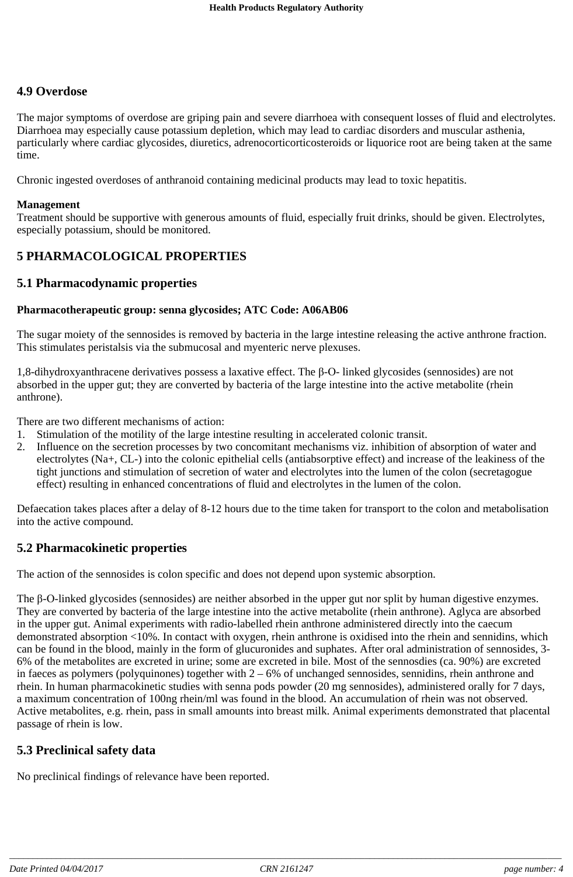### **4.9 Overdose**

The major symptoms of overdose are griping pain and severe diarrhoea with consequent losses of fluid and electrolytes. Diarrhoea may especially cause potassium depletion, which may lead to cardiac disorders and muscular asthenia, particularly where cardiac glycosides, diuretics, adrenocorticorticosteroids or liquorice root are being taken at the same time.

Chronic ingested overdoses of anthranoid containing medicinal products may lead to toxic hepatitis.

#### **Management**

Treatment should be supportive with generous amounts of fluid, especially fruit drinks, should be given. Electrolytes, especially potassium, should be monitored.

### **5 PHARMACOLOGICAL PROPERTIES**

#### **5.1 Pharmacodynamic properties**

#### **Pharmacotherapeutic group: senna glycosides; ATC Code: A06AB06**

The sugar moiety of the sennosides is removed by bacteria in the large intestine releasing the active anthrone fraction. This stimulates peristalsis via the submucosal and myenteric nerve plexuses.

 $1,8$ -dihydroxyanthracene derivatives possess a laxative effect. The  $\beta$ -O-linked glycosides (sennosides) are not absorbed in the upper gut; they are converted by bacteria of the large intestine into the active metabolite (rhein anthrone).

There are two different mechanisms of action:

- 1. Stimulation of the motility of the large intestine resulting in accelerated colonic transit.
- 2. Influence on the secretion processes by two concomitant mechanisms viz. inhibition of absorption of water and electrolytes (Na+, CL-) into the colonic epithelial cells (antiabsorptive effect) and increase of the leakiness of the tight junctions and stimulation of secretion of water and electrolytes into the lumen of the colon (secretagogue effect) resulting in enhanced concentrations of fluid and electrolytes in the lumen of the colon.

Defaecation takes places after a delay of 8-12 hours due to the time taken for transport to the colon and metabolisation into the active compound.

### **5.2 Pharmacokinetic properties**

The action of the sennosides is colon specific and does not depend upon systemic absorption.

The  $\beta$ -O-linked glycosides (sennosides) are neither absorbed in the upper gut nor split by human digestive enzymes. They are converted by bacteria of the large intestine into the active metabolite (rhein anthrone). Aglyca are absorbed in the upper gut. Animal experiments with radio-labelled rhein anthrone administered directly into the caecum demonstrated absorption <10%. In contact with oxygen, rhein anthrone is oxidised into the rhein and sennidins, which can be found in the blood, mainly in the form of glucuronides and suphates. After oral administration of sennosides, 3- 6% of the metabolites are excreted in urine; some are excreted in bile. Most of the sennosdies (ca. 90%) are excreted in faeces as polymers (polyquinones) together with  $2 - 6%$  of unchanged sennosides, sennidins, rhein anthrone and rhein. In human pharmacokinetic studies with senna pods powder (20 mg sennosides), administered orally for 7 days, a maximum concentration of 100ng rhein/ml was found in the blood. An accumulation of rhein was not observed. Active metabolites, e.g. rhein, pass in small amounts into breast milk. Animal experiments demonstrated that placental passage of rhein is low.

### **5.3 Preclinical safety data**

No preclinical findings of relevance have been reported.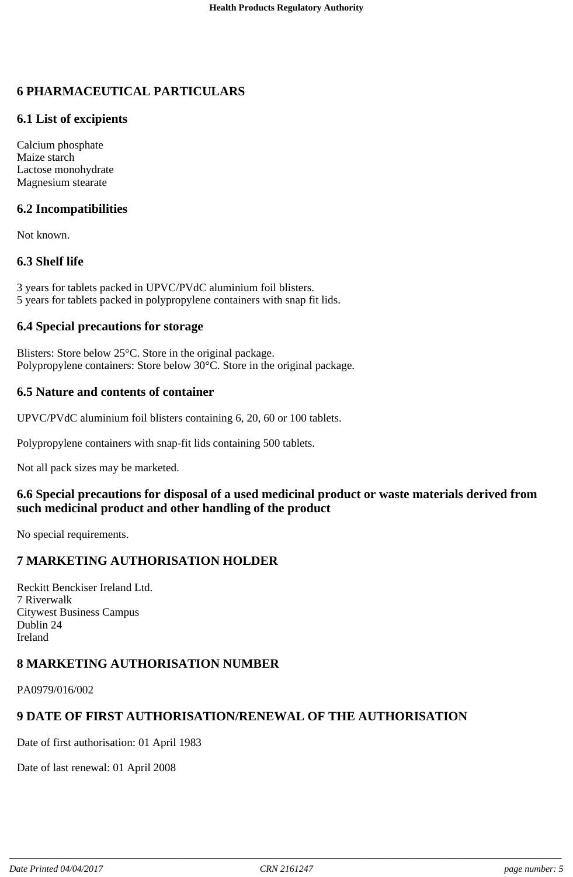# **6 PHARMACEUTICAL PARTICULARS**

# **6.1 List of excipients**

Calcium phosphate Maize starch Lactose monohydrate Magnesium stearate

# **6.2 Incompatibilities**

Not known.

# **6.3 Shelf life**

3 years for tablets packed in UPVC/PVdC aluminium foil blisters. 5 years for tablets packed in polypropylene containers with snap fit lids.

### **6.4 Special precautions for storage**

Blisters: Store below 25°C. Store in the original package. Polypropylene containers: Store below 30°C. Store in the original package.

### **6.5 Nature and contents of container**

UPVC/PVdC aluminium foil blisters containing 6, 20, 60 or 100 tablets.

Polypropylene containers with snap-fit lids containing 500 tablets.

Not all pack sizes may be marketed.

# **6.6 Special precautions for disposal of a used medicinal product or waste materials derived from such medicinal product and other handling of the product**

No special requirements.

# **7 MARKETING AUTHORISATION HOLDER**

Reckitt Benckiser Ireland Ltd. 7 Riverwalk Citywest Business Campus Dublin 24 Ireland

# **8 MARKETING AUTHORISATION NUMBER**

PA0979/016/002

# **9 DATE OF FIRST AUTHORISATION/RENEWAL OF THE AUTHORISATION**

Date of first authorisation: 01 April 1983

Date of last renewal: 01 April 2008